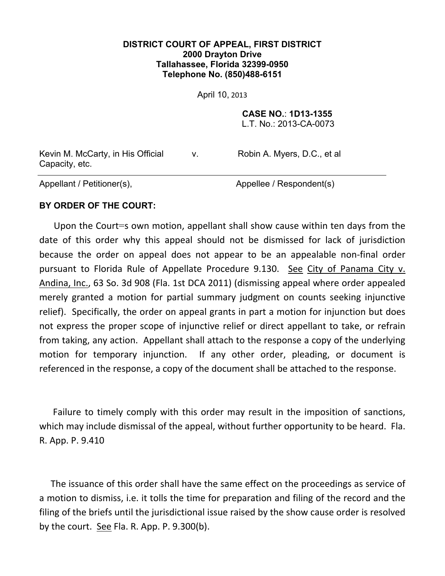## **DISTRICT COURT OF APPEAL, FIRST DISTRICT 2000 Drayton Drive Tallahassee, Florida 32399-0950 Telephone No. (850)488-6151**

April 10, 2013

**CASE NO.**: **1D13-1355**

L.T. No.: 2013-CA-0073

Kevin M. McCarty, in His Official Capacity, etc.

v. Robin A. Myers, D.C., et al

Appellant / Petitioner(s), Appellee / Respondent(s)

## **BY ORDER OF THE COURT:**

 Upon the Court=s own motion, appellant shall show cause within ten days from the date of this order why this appeal should not be dismissed for lack of jurisdiction because the order on appeal does not appear to be an appealable non-final order pursuant to Florida Rule of Appellate Procedure 9.130. See City of Panama City v. Andina, Inc., 63 So. 3d 908 (Fla. 1st DCA 2011) (dismissing appeal where order appealed merely granted a motion for partial summary judgment on counts seeking injunctive relief). Specifically, the order on appeal grants in part a motion for injunction but does not express the proper scope of injunctive relief or direct appellant to take, or refrain from taking, any action. Appellant shall attach to the response a copy of the underlying motion for temporary injunction. If any other order, pleading, or document is referenced in the response, a copy of the document shall be attached to the response.

 Failure to timely comply with this order may result in the imposition of sanctions, which may include dismissal of the appeal, without further opportunity to be heard. Fla. R. App. P. 9.410

 The issuance of this order shall have the same effect on the proceedings as service of a motion to dismiss, i.e. it tolls the time for preparation and filing of the record and the filing of the briefs until the jurisdictional issue raised by the show cause order is resolved by the court. See Fla. R. App. P. 9.300(b).